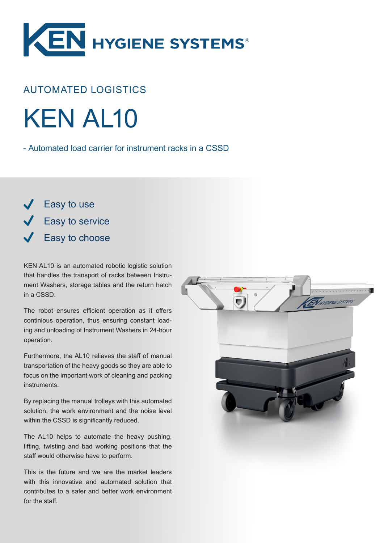

## AUTOMATED LOGISTICS

KEN AL10

- Automated load carrier for instrument racks in a CSSD

Easy to use **Easy to service** Easy to choose

KEN AL10 is an automated robotic logistic solution that handles the transport of racks between Instrument Washers, storage tables and the return hatch in a CSSD.

The robot ensures efficient operation as it offers continious operation, thus ensuring constant loading and unloading of Instrument Washers in 24-hour operation.

Furthermore, the AL10 relieves the staff of manual transportation of the heavy goods so they are able to focus on the important work of cleaning and packing instruments.

By replacing the manual trolleys with this automated solution, the work environment and the noise level within the CSSD is significantly reduced.

The AL10 helps to automate the heavy pushing, lifting, twisting and bad working positions that the staff would otherwise have to perform.

This is the future and we are the market leaders with this innovative and automated solution that contributes to a safer and better work environment for the staff.